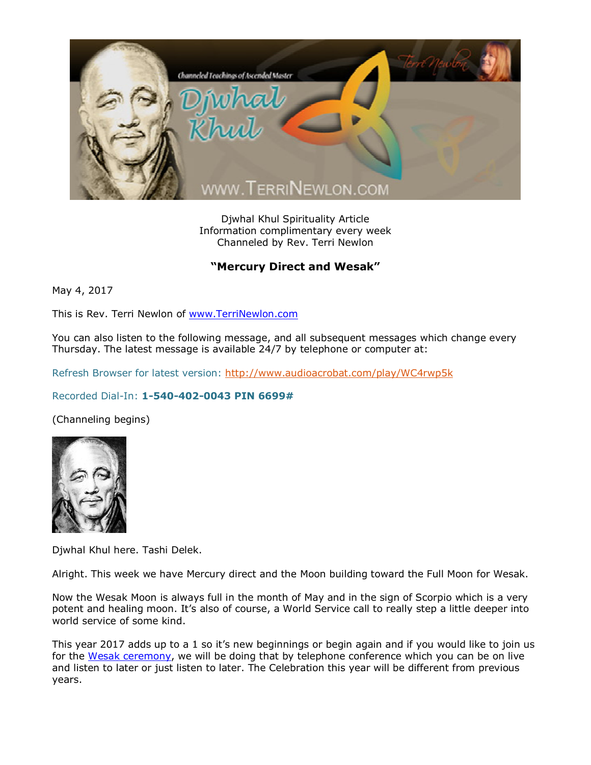

Djwhal Khul Spirituality Article Information complimentary every week Channeled by Rev. Terri Newlon

## **"Mercury Direct and Wesak"**

May 4, 2017

This is Rev. Terri Newlon of [www.TerriNewlon.com](http://www.terrinewlon.com/)

You can also listen to the following message, and all subsequent messages which change every Thursday. The latest message is available 24/7 by telephone or computer at:

Refresh Browser for latest version: <http://www.audioacrobat.com/play/WC4rwp5k>

## Recorded Dial-In: **1-540-402-0043 PIN 6699#**

(Channeling begins)



Djwhal Khul here. Tashi Delek.

Alright. This week we have Mercury direct and the Moon building toward the Full Moon for Wesak.

Now the Wesak Moon is always full in the month of May and in the sign of Scorpio which is a very potent and healing moon. It's also of course, a World Service call to really step a little deeper into world service of some kind.

This year 2017 adds up to a 1 so it's new beginnings or begin again and if you would like to join us for the [Wesak ceremony,](http://www.terrinewlon.com/telecourses.php) we will be doing that by telephone conference which you can be on live and listen to later or just listen to later. The Celebration this year will be different from previous years.